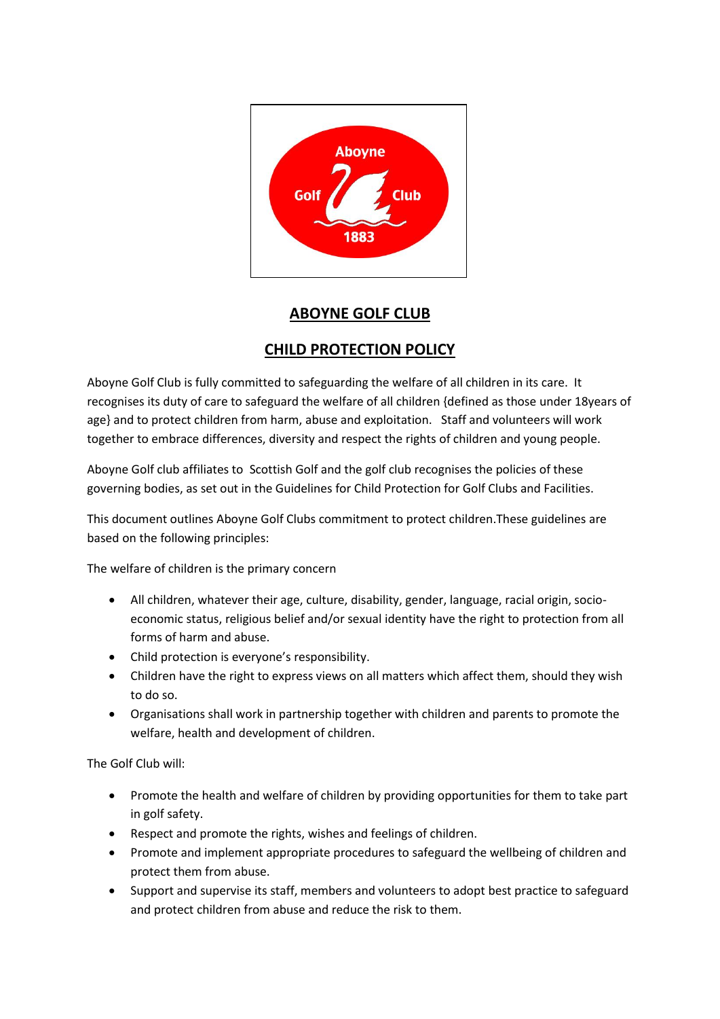

## **ABOYNE GOLF CLUB**

## **CHILD PROTECTION POLICY**

Aboyne Golf Club is fully committed to safeguarding the welfare of all children in its care. It recognises its duty of care to safeguard the welfare of all children {defined as those under 18years of age} and to protect children from harm, abuse and exploitation. Staff and volunteers will work together to embrace differences, diversity and respect the rights of children and young people.

Aboyne Golf club affiliates to Scottish Golf and the golf club recognises the policies of these governing bodies, as set out in the Guidelines for Child Protection for Golf Clubs and Facilities.

This document outlines Aboyne Golf Clubs commitment to protect children.These guidelines are based on the following principles:

The welfare of children is the primary concern

- All children, whatever their age, culture, disability, gender, language, racial origin, socioeconomic status, religious belief and/or sexual identity have the right to protection from all forms of harm and abuse.
- Child protection is everyone's responsibility.
- Children have the right to express views on all matters which affect them, should they wish to do so.
- Organisations shall work in partnership together with children and parents to promote the welfare, health and development of children.

The Golf Club will:

- Promote the health and welfare of children by providing opportunities for them to take part in golf safety.
- Respect and promote the rights, wishes and feelings of children.
- Promote and implement appropriate procedures to safeguard the wellbeing of children and protect them from abuse.
- Support and supervise its staff, members and volunteers to adopt best practice to safeguard and protect children from abuse and reduce the risk to them.